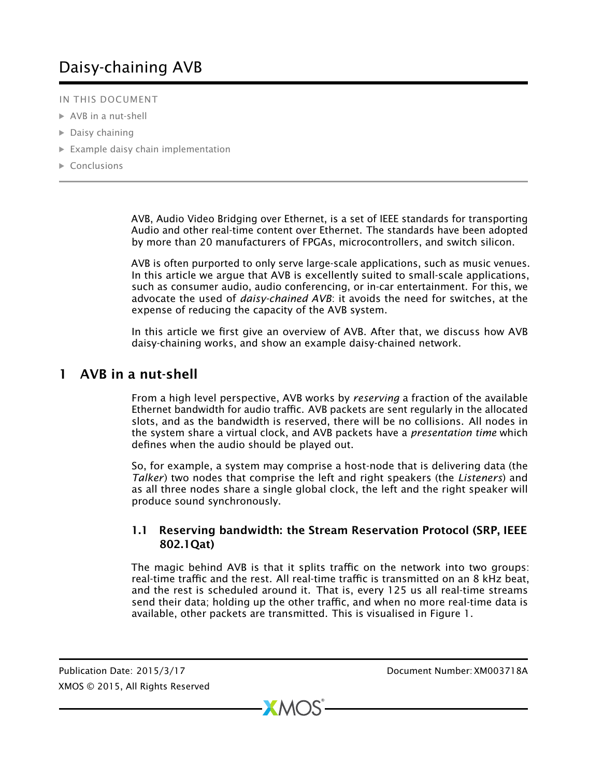# Daisy-chaining AVB

- IN THIS DOCUMENT
- $\triangleright$  [AVB in a nut-shell](#page-0-0)
- $\triangleright$  [Daisy chaining](#page-3-0)
- $\triangleright$  [Example daisy chain implementation](#page-4-0)
- $\triangleright$  [Conclusions](#page-6-0)

AVB, Audio Video Bridging over Ethernet, is a set of IEEE standards for transporting Audio and other real-time content over Ethernet. The standards have been adopted by more than 20 manufacturers of FPGAs, microcontrollers, and switch silicon.

AVB is often purported to only serve large-scale applications, such as music venues. In this article we argue that AVB is excellently suited to small-scale applications, such as consumer audio, audio conferencing, or in-car entertainment. For this, we advocate the used of *daisy-chained AVB*: it avoids the need for switches, at the expense of reducing the capacity of the AVB system.

<span id="page-0-0"></span>In this article we first give an overview of AVB. After that, we discuss how AVB daisy-chaining works, and show an example daisy-chained network.

## 1 AVB in a nut-shell

From a high level perspective, AVB works by *reserving* a fraction of the available Ethernet bandwidth for audio traffic. AVB packets are sent regularly in the allocated slots, and as the bandwidth is reserved, there will be no collisions. All nodes in the system share a virtual clock, and AVB packets have a *presentation time* which defines when the audio should be played out.

So, for example, a system may comprise a host-node that is delivering data (the *Talker*) two nodes that comprise the left and right speakers (the *Listeners*) and as all three nodes share a single global clock, the left and the right speaker will produce sound synchronously.

#### 1.1 Reserving bandwidth: the Stream Reservation Protocol (SRP, IEEE 802.1Qat)

The magic behind AVB is that it splits traffic on the network into two groups: real-time traffic and the rest. All real-time traffic is transmitted on an 8 kHz beat, and the rest is scheduled around it. That is, every 125 us all real-time streams send their data; holding up the other traffic, and when no more real-time data is available, other packets are transmitted. This is visualised in Figure 1.

Publication Date: 2015/3/17 Document Number: XM003718A XMOS © 2015, All Rights Reserved

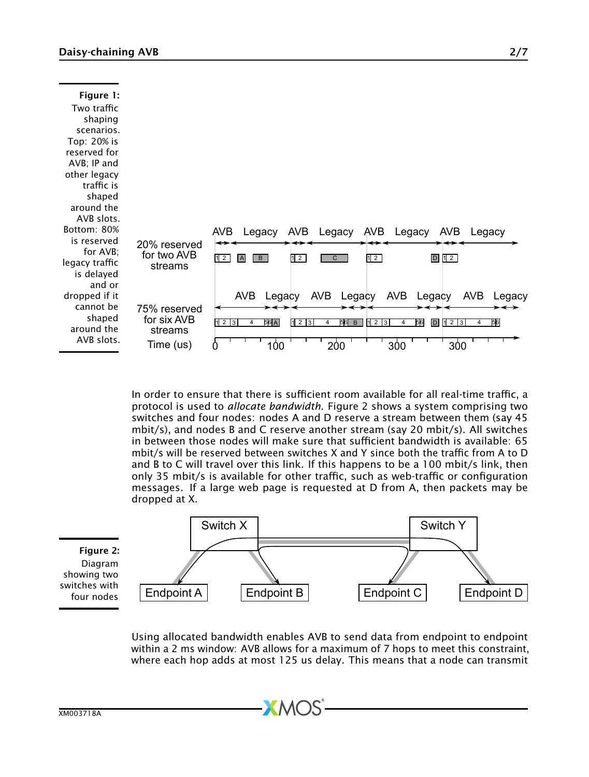| Figure 1:<br>Two traffic<br>shaping<br>scenarios.<br>Top: 20% is<br>reserved for<br>AVB; IP and<br>other legacy<br>traffic is<br>shaped<br>around the |                                                     |                                                                                                                                                                                                       |
|-------------------------------------------------------------------------------------------------------------------------------------------------------|-----------------------------------------------------|-------------------------------------------------------------------------------------------------------------------------------------------------------------------------------------------------------|
| AVB slots.<br>Bottom: 80%<br>is reserved<br>for AVB;<br>legacy traffic<br>is delayed<br>and or                                                        | 20% reserved<br>for two AVB<br>streams              | AVB<br>AVB<br>AVB<br>AVB.<br>Legacy<br>Legacy<br>Legacy<br>Legacy<br>12<br>12<br>$D$ 12<br>12<br>$\overline{B}$<br>$\overline{c}$<br>A                                                                |
| dropped if it<br>cannot be<br>shaped<br>around the<br>AVB slots.                                                                                      | 75% reserved<br>for six AVB<br>streams<br>Time (us) | AVB<br>AVB Legacy<br>AVB<br>AVB<br>Legacy<br>Legacy<br>Legacy<br>56A<br>硐<br>$1\overline{2}$ $\overline{3}$<br>123<br>56 B<br>56<br>11213<br>123<br>D<br>4<br>4<br>4<br>4<br>200<br>300<br>100<br>300 |

In order to ensure that there is sufficient room available for all real-time traffic, a protocol is used to *allocate bandwidth*. Figure 2 shows a system comprising two switches and four nodes: nodes A and D reserve a stream between them (say 45 mbit/s), and nodes B and C reserve another stream (say 20 mbit/s). All switches in between those nodes will make sure that sufficient bandwidth is available: 65 mbit/s will be reserved between switches X and Y since both the traffic from A to D and B to C will travel over this link. If this happens to be a 100 mbit/s link, then only 35 mbit/s is available for other traffic, such as web-traffic or configuration messages. If a large web page is requested at D from A, then packets may be dropped at X.



Using allocated bandwidth enables AVB to send data from endpoint to endpoint within a 2 ms window: AVB allows for a maximum of 7 hops to meet this constraint, where each hop adds at most 125 us delay. This means that a node can transmit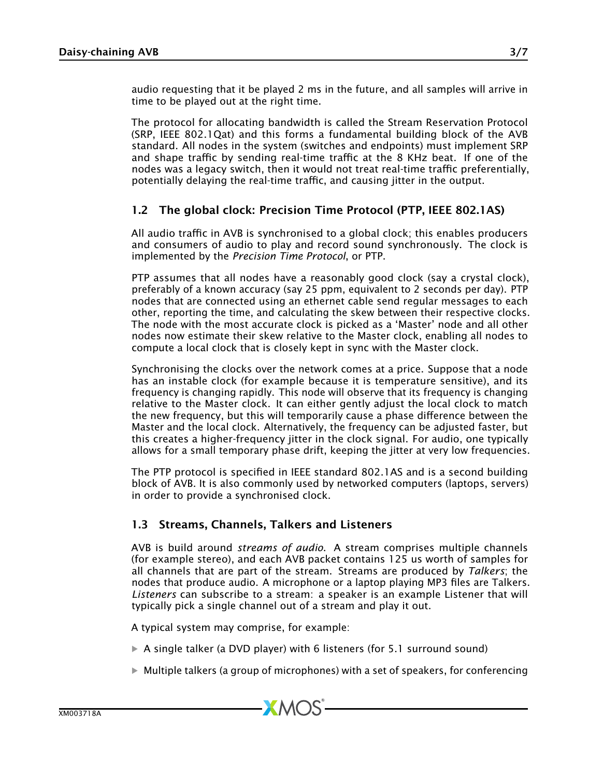audio requesting that it be played 2 ms in the future, and all samples will arrive in time to be played out at the right time.

The protocol for allocating bandwidth is called the Stream Reservation Protocol (SRP, IEEE 802.1Qat) and this forms a fundamental building block of the AVB standard. All nodes in the system (switches and endpoints) must implement SRP and shape traffic by sending real-time traffic at the 8 KHz beat. If one of the nodes was a legacy switch, then it would not treat real-time traffic preferentially, potentially delaying the real-time traffic, and causing jitter in the output.

#### 1.2 The global clock: Precision Time Protocol (PTP, IEEE 802.1AS)

All audio traffic in AVB is synchronised to a global clock; this enables producers and consumers of audio to play and record sound synchronously. The clock is implemented by the *Precision Time Protocol*, or PTP.

PTP assumes that all nodes have a reasonably good clock (say a crystal clock), preferably of a known accuracy (say 25 ppm, equivalent to 2 seconds per day). PTP nodes that are connected using an ethernet cable send regular messages to each other, reporting the time, and calculating the skew between their respective clocks. The node with the most accurate clock is picked as a 'Master' node and all other nodes now estimate their skew relative to the Master clock, enabling all nodes to compute a local clock that is closely kept in sync with the Master clock.

Synchronising the clocks over the network comes at a price. Suppose that a node has an instable clock (for example because it is temperature sensitive), and its frequency is changing rapidly. This node will observe that its frequency is changing relative to the Master clock. It can either gently adjust the local clock to match the new frequency, but this will temporarily cause a phase difference between the Master and the local clock. Alternatively, the frequency can be adjusted faster, but this creates a higher-frequency jitter in the clock signal. For audio, one typically allows for a small temporary phase drift, keeping the jitter at very low frequencies.

The PTP protocol is specified in IEEE standard 802.1AS and is a second building block of AVB. It is also commonly used by networked computers (laptops, servers) in order to provide a synchronised clock.

#### 1.3 Streams, Channels, Talkers and Listeners

AVB is build around *streams of audio*. A stream comprises multiple channels (for example stereo), and each AVB packet contains 125 us worth of samples for all channels that are part of the stream. Streams are produced by *Talkers*; the nodes that produce audio. A microphone or a laptop playing MP3 files are Talkers. *Listeners* can subscribe to a stream: a speaker is an example Listener that will typically pick a single channel out of a stream and play it out.

A typical system may comprise, for example:

· A single talker (a DVD player) with 6 listeners (for 5.1 surround sound)

**XMOS** 

 $\triangleright$  Multiple talkers (a group of microphones) with a set of speakers, for conferencing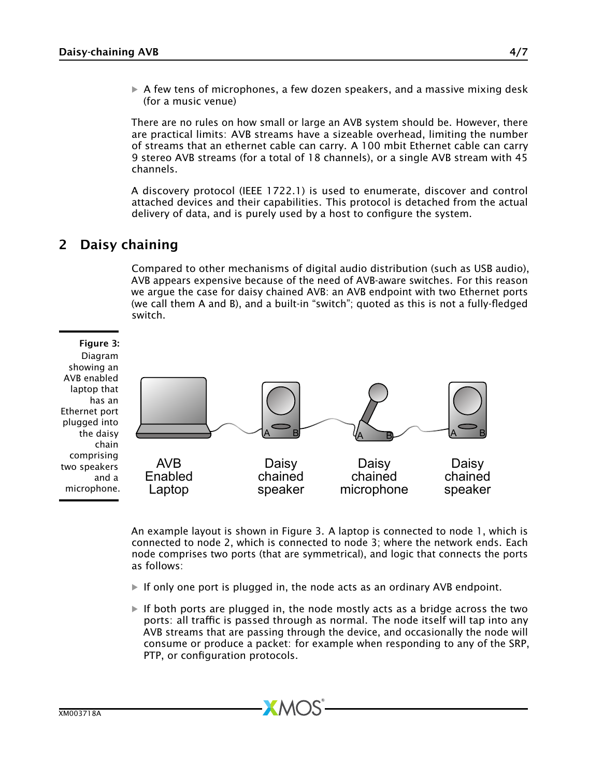$\triangleright$  A few tens of microphones, a few dozen speakers, and a massive mixing desk (for a music venue)

There are no rules on how small or large an AVB system should be. However, there are practical limits: AVB streams have a sizeable overhead, limiting the number of streams that an ethernet cable can carry. A 100 mbit Ethernet cable can carry 9 stereo AVB streams (for a total of 18 channels), or a single AVB stream with 45 channels.

A discovery protocol (IEEE 1722.1) is used to enumerate, discover and control attached devices and their capabilities. This protocol is detached from the actual delivery of data, and is purely used by a host to configure the system.

# 2 Daisy chaining

<span id="page-3-0"></span>Compared to other mechanisms of digital audio distribution (such as USB audio), AVB appears expensive because of the need of AVB-aware switches. For this reason we argue the case for daisy chained AVB: an AVB endpoint with two Ethernet ports (we call them A and B), and a built-in "switch"; quoted as this is not a fully-fledged switch.

## Figure 3:

Diagram showing an AVB enabled laptop that has an Ethernet port plugged into the daisy chain comprising two speakers and a microphone.



An example layout is shown in Figure 3. A laptop is connected to node 1, which is connected to node 2, which is connected to node 3; where the network ends. Each node comprises two ports (that are symmetrical), and logic that connects the ports as follows:

- $\triangleright$  If only one port is plugged in, the node acts as an ordinary AVB endpoint.
- $\blacktriangleright$  If both ports are plugged in, the node mostly acts as a bridge across the two ports: all traffic is passed through as normal. The node itself will tap into any AVB streams that are passing through the device, and occasionally the node will consume or produce a packet: for example when responding to any of the SRP, PTP, or configuration protocols.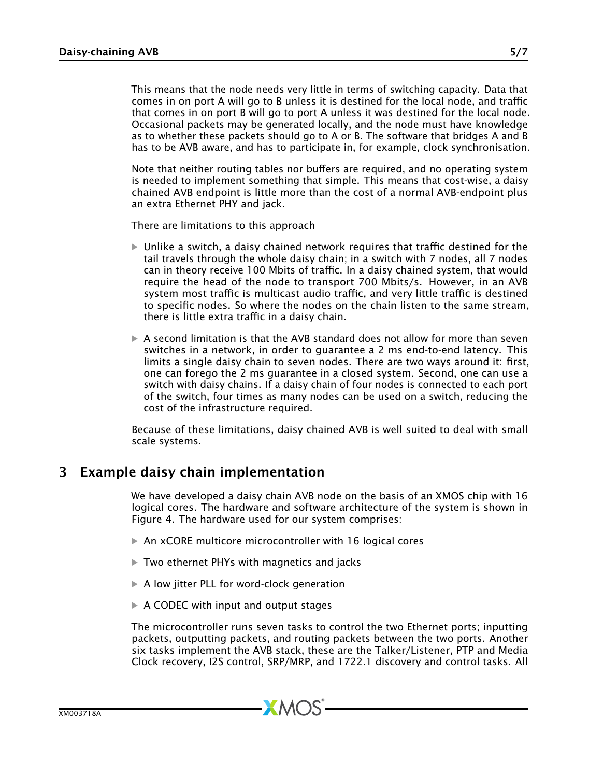This means that the node needs very little in terms of switching capacity. Data that comes in on port A will go to B unless it is destined for the local node, and traffic that comes in on port B will go to port A unless it was destined for the local node. Occasional packets may be generated locally, and the node must have knowledge as to whether these packets should go to A or B. The software that bridges A and B has to be AVB aware, and has to participate in, for example, clock synchronisation.

Note that neither routing tables nor buffers are required, and no operating system is needed to implement something that simple. This means that cost-wise, a daisy chained AVB endpoint is little more than the cost of a normal AVB-endpoint plus an extra Ethernet PHY and jack.

There are limitations to this approach

- $\triangleright$  Unlike a switch, a daisy chained network requires that traffic destined for the tail travels through the whole daisy chain; in a switch with 7 nodes, all 7 nodes can in theory receive 100 Mbits of traffic. In a daisy chained system, that would require the head of the node to transport 700 Mbits/s. However, in an AVB system most traffic is multicast audio traffic, and very little traffic is destined to specific nodes. So where the nodes on the chain listen to the same stream, there is little extra traffic in a daisy chain.
- $\triangleright$  A second limitation is that the AVB standard does not allow for more than seven switches in a network, in order to guarantee a 2 ms end-to-end latency. This limits a single daisy chain to seven nodes. There are two ways around it: first, one can forego the 2 ms guarantee in a closed system. Second, one can use a switch with daisy chains. If a daisy chain of four nodes is connected to each port of the switch, four times as many nodes can be used on a switch, reducing the cost of the infrastructure required.

<span id="page-4-0"></span>Because of these limitations, daisy chained AVB is well suited to deal with small scale systems.

# 3 Example daisy chain implementation

We have developed a daisy chain AVB node on the basis of an XMOS chip with 16 logical cores. The hardware and software architecture of the system is shown in Figure 4. The hardware used for our system comprises:

 $\triangleright$  An xCORE multicore microcontroller with 16 logical cores

 $XMOS$ 

- · Two ethernet PHYs with magnetics and jacks
- ▶ A low jitter PLL for word-clock generation
- $\triangleright$  A CODEC with input and output stages

The microcontroller runs seven tasks to control the two Ethernet ports; inputting packets, outputting packets, and routing packets between the two ports. Another six tasks implement the AVB stack, these are the Talker/Listener, PTP and Media Clock recovery, I2S control, SRP/MRP, and 1722.1 discovery and control tasks. All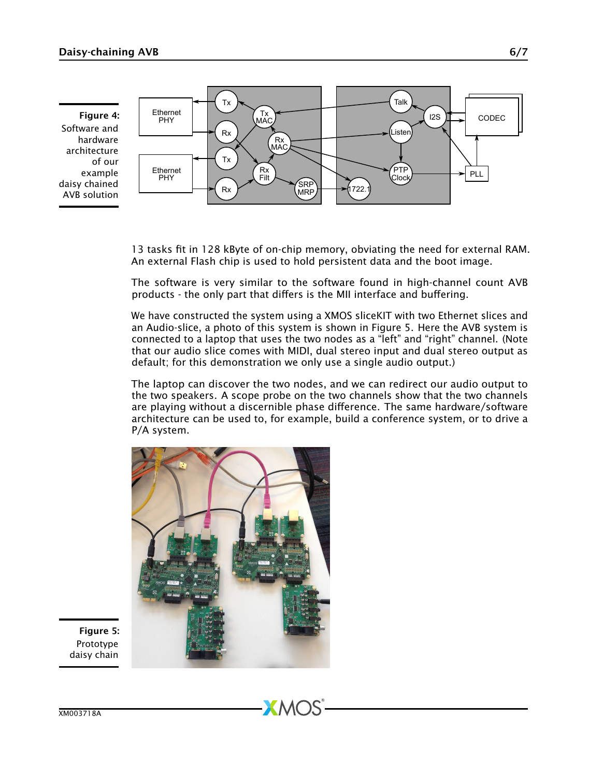Figure 4: Software and hardware architecture of our example daisy chained AVB solution



13 tasks fit in 128 kByte of on-chip memory, obviating the need for external RAM. An external Flash chip is used to hold persistent data and the boot image.

The software is very similar to the software found in high-channel count AVB products - the only part that differs is the MII interface and buffering.

We have constructed the system using a XMOS sliceKIT with two Ethernet slices and an Audio-slice, a photo of this system is shown in Figure 5. Here the AVB system is connected to a laptop that uses the two nodes as a "left" and "right" channel. (Note that our audio slice comes with MIDI, dual stereo input and dual stereo output as default; for this demonstration we only use a single audio output.)

The laptop can discover the two nodes, and we can redirect our audio output to the two speakers. A scope probe on the two channels show that the two channels are playing without a discernible phase difference. The same hardware/software architecture can be used to, for example, build a conference system, or to drive a P/A system.



Figure 5: Prototype daisy chain